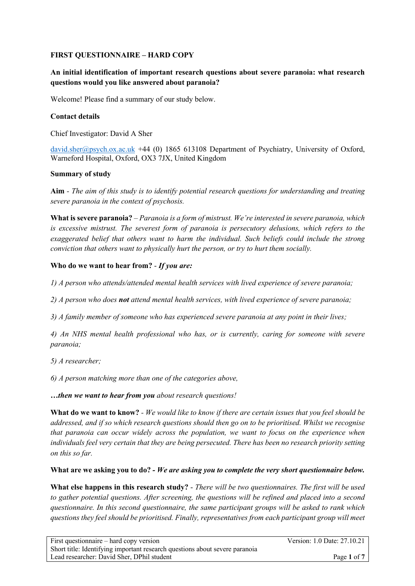# **FIRST QUESTIONNAIRE – HARD COPY**

# **An initial identification of important research questions about severe paranoia: what research questions would you like answered about paranoia?**

Welcome! Please find a summary of our study below.

# **Contact details**

Chief Investigator: David A Sher

david.sher@psych.ox.ac.uk +44 (0) 1865 613108 Department of Psychiatry, University of Oxford, Warneford Hospital, Oxford, OX3 7JX, United Kingdom

#### **Summary of study**

**Aim** *- The aim of this study is to identify potential research questions for understanding and treating severe paranoia in the context of psychosis.* 

**What is severe paranoia?** – *Paranoia is a form of mistrust. We're interested in severe paranoia, which is excessive mistrust. The severest form of paranoia is persecutory delusions, which refers to the exaggerated belief that others want to harm the individual. Such beliefs could include the strong conviction that others want to physically hurt the person, or try to hurt them socially.* 

# **Who do we want to hear from?** - *If you are:*

*1) A person who attends/attended mental health services with lived experience of severe paranoia;*

*2) A person who does not attend mental health services, with lived experience of severe paranoia;*

*3) A family member of someone who has experienced severe paranoia at any point in their lives;*

*4) An NHS mental health professional who has, or is currently, caring for someone with severe paranoia;*

*5) A researcher;*

*6) A person matching more than one of the categories above,*

*…then we want to hear from you about research questions!*

**What do we want to know?** *- We would like to know if there are certain issues that you feel should be addressed, and if so which research questions should then go on to be prioritised. Whilst we recognise that paranoia can occur widely across the population, we want to focus on the experience when individuals feel very certain that they are being persecuted. There has been no research priority setting on this so far.*

# **What are we asking you to do?** *- We are asking you to complete the very short questionnaire below.*

**What else happens in this research study?** - *There will be two questionnaires. The first will be used to gather potential questions. After screening, the questions will be refined and placed into a second questionnaire. In this second questionnaire, the same participant groups will be asked to rank which questions they feel should be prioritised. Finally, representatives from each participant group will meet*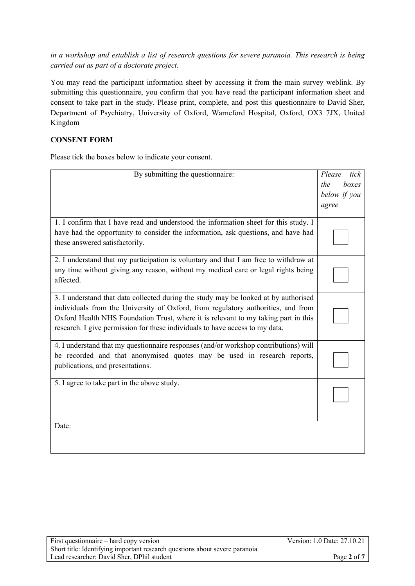*in a workshop and establish a list of research questions for severe paranoia. This research is being carried out as part of a doctorate project.*

You may read the participant information sheet by accessing it from the main survey weblink. By submitting this questionnaire, you confirm that you have read the participant information sheet and consent to take part in the study. Please print, complete, and post this questionnaire to David Sher, Department of Psychiatry, University of Oxford, Warneford Hospital, Oxford, OX3 7JX, United Kingdom

# **CONSENT FORM**

Please tick the boxes below to indicate your consent.

| By submitting the questionnaire:                                                                                                                                                                                                                                                                                                              | Please<br>tick<br>the<br>boxes<br>below if you |
|-----------------------------------------------------------------------------------------------------------------------------------------------------------------------------------------------------------------------------------------------------------------------------------------------------------------------------------------------|------------------------------------------------|
|                                                                                                                                                                                                                                                                                                                                               | agree                                          |
| 1. I confirm that I have read and understood the information sheet for this study. I<br>have had the opportunity to consider the information, ask questions, and have had<br>these answered satisfactorily.                                                                                                                                   |                                                |
| 2. I understand that my participation is voluntary and that I am free to withdraw at<br>any time without giving any reason, without my medical care or legal rights being<br>affected.                                                                                                                                                        |                                                |
| 3. I understand that data collected during the study may be looked at by authorised<br>individuals from the University of Oxford, from regulatory authorities, and from<br>Oxford Health NHS Foundation Trust, where it is relevant to my taking part in this<br>research. I give permission for these individuals to have access to my data. |                                                |
| 4. I understand that my questionnaire responses (and/or workshop contributions) will<br>be recorded and that anonymised quotes may be used in research reports,<br>publications, and presentations.                                                                                                                                           |                                                |
| 5. I agree to take part in the above study.                                                                                                                                                                                                                                                                                                   |                                                |
| Date:                                                                                                                                                                                                                                                                                                                                         |                                                |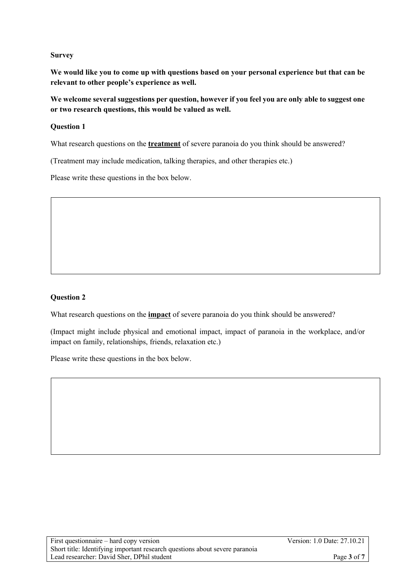#### **Survey**

**We would like you to come up with questions based on your personal experience but that can be relevant to other people's experience as well.** 

**We welcome several suggestions per question, however if you feel you are only able to suggest one or two research questions, this would be valued as well.** 

### **Question 1**

What research questions on the **treatment** of severe paranoia do you think should be answered?

(Treatment may include medication, talking therapies, and other therapies etc.)

Please write these questions in the box below.

# **Question 2**

What research questions on the **impact** of severe paranoia do you think should be answered?

(Impact might include physical and emotional impact, impact of paranoia in the workplace, and/or impact on family, relationships, friends, relaxation etc.)

Please write these questions in the box below.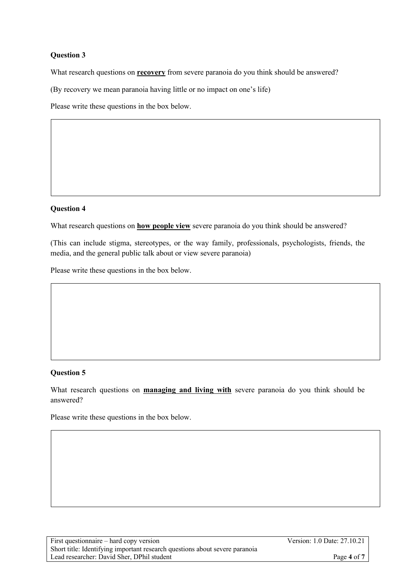# **Question 3**

What research questions on **recovery** from severe paranoia do you think should be answered?

(By recovery we mean paranoia having little or no impact on one's life)

Please write these questions in the box below.

#### **Question 4**

What research questions on **how people view** severe paranoia do you think should be answered?

(This can include stigma, stereotypes, or the way family, professionals, psychologists, friends, the media, and the general public talk about or view severe paranoia)

Please write these questions in the box below.

# **Question 5**

What research questions on **managing and living with** severe paranoia do you think should be answered?

Please write these questions in the box below.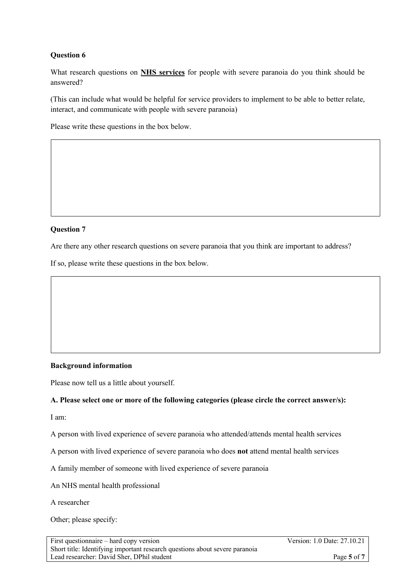# **Question 6**

What research questions on **NHS services** for people with severe paranoia do you think should be answered?

(This can include what would be helpful for service providers to implement to be able to better relate, interact, and communicate with people with severe paranoia)

Please write these questions in the box below.

#### **Question 7**

Are there any other research questions on severe paranoia that you think are important to address?

If so, please write these questions in the box below.

#### **Background information**

Please now tell us a little about yourself.

#### **A. Please select one or more of the following categories (please circle the correct answer/s):**

 $\mathbb{P}^{\mathcal{A}}$ 

I am:

A person with lived experience of severe paranoia who attended/attends mental health services

A person with lived experience of severe paranoia who does **not** attend mental health services

A family member of someone with lived experience of severe paranoia

An NHS mental health professional

A researcher

Other; please specify: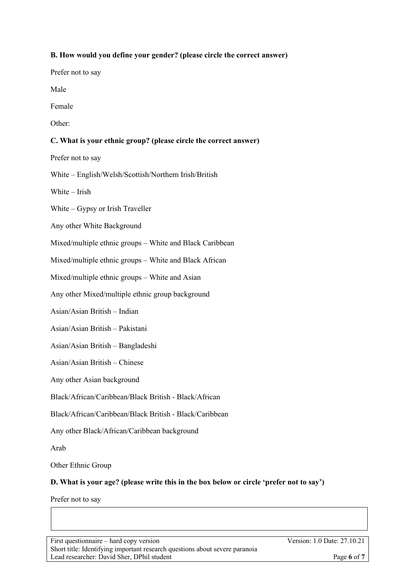# **B. How would you define your gender? (please circle the correct answer)**

Prefer not to say

Male

Female

Other:

# **C. What is your ethnic group? (please circle the correct answer)**

Prefer not to say

White – English/Welsh/Scottish/Northern Irish/British

White – Irish

White – Gypsy or Irish Traveller

Any other White Background

Mixed/multiple ethnic groups – White and Black Caribbean

Mixed/multiple ethnic groups – White and Black African

Mixed/multiple ethnic groups – White and Asian

Any other Mixed/multiple ethnic group background

Asian/Asian British – Indian

Asian/Asian British – Pakistani

Asian/Asian British – Bangladeshi

Asian/Asian British – Chinese

Any other Asian background

Black/African/Caribbean/Black British - Black/African

Black/African/Caribbean/Black British - Black/Caribbean

Any other Black/African/Caribbean background

Arab

Other Ethnic Group

#### **D. What is your age? (please write this in the box below or circle 'prefer not to say')**

Prefer not to say

First questionnaire – hard copy version Version: 1.0 Date: 27.10.21 Short title: Identifying important research questions about severe paranoia Lead researcher: David Sher, DPhil student **Page 6** of **7**